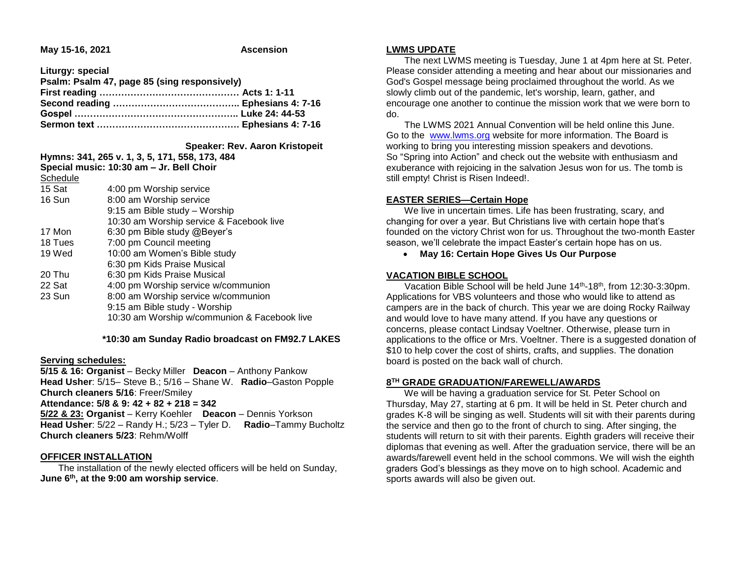**May 15-16, 2021 Ascension** 

**Liturgy: special Psalm: Psalm 47, page 85 (sing responsively) First reading ……………………………………… Acts 1: 1-11 Second reading ………………………………….. Ephesians 4: 7-16 Gospel …………………………………………….. Luke 24: 44-53 Sermon text ………………………………………. Ephesians 4: 7-16**

 **Speaker: Rev. Aaron Kristopeit**

| Hymns: 341, 265 v. 1, 3, 5, 171, 558, 173, 484 |                                              |
|------------------------------------------------|----------------------------------------------|
| Special music: 10:30 am - Jr. Bell Choir       |                                              |
| Schedule                                       |                                              |
| 15 Sat                                         | 4:00 pm Worship service                      |
| 16 Sun                                         | 8:00 am Worship service                      |
|                                                | 9:15 am Bible study - Worship                |
|                                                | 10:30 am Worship service & Facebook live     |
| 17 Mon                                         | 6:30 pm Bible study @Beyer's                 |
| 18 Tues                                        | 7:00 pm Council meeting                      |
| 19 Wed                                         | 10:00 am Women's Bible study                 |
|                                                | 6:30 pm Kids Praise Musical                  |
| 20 Thu                                         | 6:30 pm Kids Praise Musical                  |
| 22 Sat                                         | 4:00 pm Worship service w/communion          |
| 23 Sun                                         | 8:00 am Worship service w/communion          |
|                                                | 9:15 am Bible study - Worship                |
|                                                | 10:30 am Worship w/communion & Facebook live |
|                                                |                                              |

 **\*10:30 am Sunday Radio broadcast on FM92.7 LAKES**

### **Serving schedules:**

**5/15 & 16: Organist** – Becky Miller **Deacon** – Anthony Pankow **Head Usher**: 5/15– Steve B.; 5/16 – Shane W. **Radio**–Gaston Popple **Church cleaners 5/16**: Freer/Smiley

#### **Attendance: 5/8 & 9: 42 + 82 + 218 = 342**

**5/22 & 23: Organist** – Kerry Koehler **Deacon** – Dennis Yorkson **Head Usher**: 5/22 – Randy H.; 5/23 – Tyler D. **Radio**–Tammy Bucholtz **Church cleaners 5/23**: Rehm/Wolff

## **OFFICER INSTALLATION**

 The installation of the newly elected officers will be held on Sunday, **June 6th, at the 9:00 am worship service**.

### **LWMS UPDATE**

 The next LWMS meeting is Tuesday, June 1 at 4pm here at St. Peter. Please consider attending a meeting and hear about our missionaries and God's Gospel message being proclaimed throughout the world. As we slowly climb out of the pandemic, let's worship, learn, gather, and encourage one another to continue the mission work that we were born to do.

 The LWMS 2021 Annual Convention will be held online this June. Go to the [www.lwms.org](https://linkprotect.cudasvc.com/url?a=https%3a%2f%2fwww.lwms.org&c=E,1,RbDPDMvv0PIyoeWp9K76FVw4VLZiHa77y76IHHGXiB1jL1keXC-kUEdRYEAcONkwG_iAT4LoIc2ns7zCkbuPYd9-6QI246CWdx9jl7s-KpMpudk,&typo=1&ancr_add=1) website for more information. The Board is working to bring you interesting mission speakers and devotions. So "Spring into Action" and check out the website with enthusiasm and exuberance with rejoicing in the salvation Jesus won for us. The tomb is still empty! Christ is Risen Indeed!.

## **EASTER SERIES—Certain Hope**

 We live in uncertain times. Life has been frustrating, scary, and changing for over a year. But Christians live with certain hope that's founded on the victory Christ won for us. Throughout the two-month Easter season, we'll celebrate the impact Easter's certain hope has on us.

**May 16: Certain Hope Gives Us Our Purpose**

## **VACATION BIBLE SCHOOL**

 Vacation Bible School will be held June 14th-18th, from 12:30-3:30pm. Applications for VBS volunteers and those who would like to attend as campers are in the back of church. This year we are doing Rocky Railway and would love to have many attend. If you have any questions or concerns, please contact Lindsay Voeltner. Otherwise, please turn in applications to the office or Mrs. Voeltner. There is a suggested donation of \$10 to help cover the cost of shirts, crafts, and supplies. The donation board is posted on the back wall of church.

# **8 TH GRADE GRADUATION/FAREWELL/AWARDS**

 We will be having a graduation service for St. Peter School on Thursday, May 27, starting at 6 pm. It will be held in St. Peter church and grades K-8 will be singing as well. Students will sit with their parents during the service and then go to the front of church to sing. After singing, the students will return to sit with their parents. Eighth graders will receive their diplomas that evening as well. After the graduation service, there will be an awards/farewell event held in the school commons. We will wish the eighth graders God's blessings as they move on to high school. Academic and sports awards will also be given out.